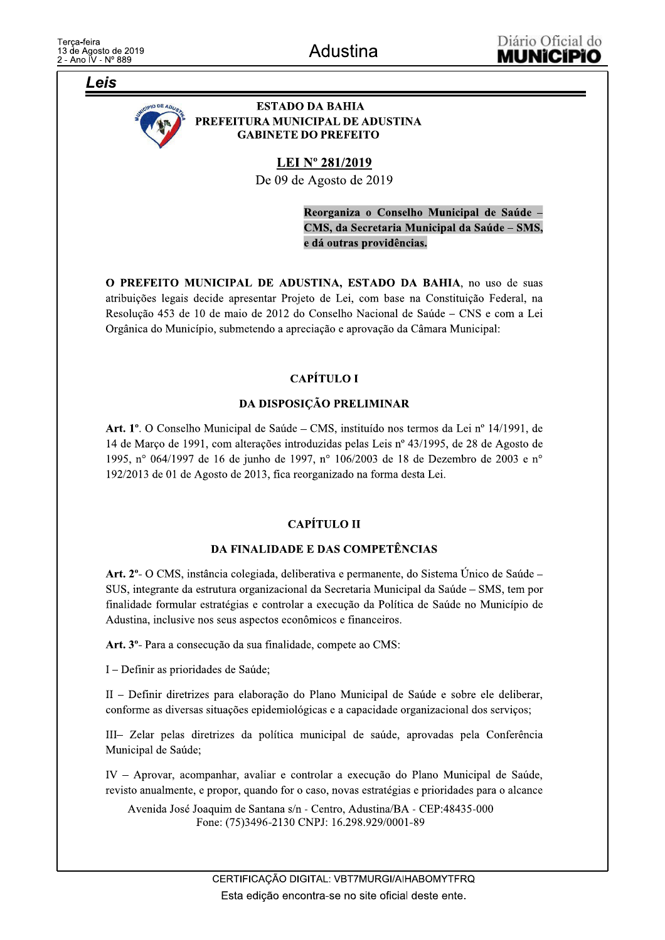Leis



**ESTADO DA BAHIA** PREFEITURA MUNICIPAL DE ADUSTINA **GABINETE DO PREFEITO** 

**LEI Nº 281/2019** 

De 09 de Agosto de 2019

Reorganiza o Conselho Municipal de Saúde -CMS, da Secretaria Municipal da Saúde – SMS, e dá outras providências.

O PREFEITO MUNICIPAL DE ADUSTINA, ESTADO DA BAHIA, no uso de suas atribuições legais decide apresentar Projeto de Lei, com base na Constituição Federal, na Resolução 453 de 10 de maio de 2012 do Conselho Nacional de Saúde – CNS e com a Lei Orgânica do Município, submetendo a apreciação e aprovação da Câmara Municipal:

# **CAPÍTULO I**

### DA DISPOSIÇÃO PRELIMINAR

Art. 1º. O Conselho Municipal de Saúde – CMS, instituído nos termos da Lei nº 14/1991, de 14 de Março de 1991, com alterações introduzidas pelas Leis nº 43/1995, de 28 de Agosto de 1995, n° 064/1997 de 16 de junho de 1997, n° 106/2003 de 18 de Dezembro de 2003 e n° 192/2013 de 01 de Agosto de 2013, fica reorganizado na forma desta Lei.

# CAPÍTULO II

# **DA FINALIDADE E DAS COMPETÊNCIAS**

Art. 2º- O CMS, instância colegiada, deliberativa e permanente, do Sistema Único de Saúde -SUS, integrante da estrutura organizacional da Secretaria Municipal da Saúde – SMS, tem por finalidade formular estratégias e controlar a execução da Política de Saúde no Município de Adustina, inclusive nos seus aspectos econômicos e financeiros.

Art. 3º- Para a consecução da sua finalidade, compete ao CMS:

I - Definir as prioridades de Saúde;

II – Definir diretrizes para elaboração do Plano Municipal de Saúde e sobre ele deliberar, conforme as diversas situações epidemiológicas e a capacidade organizacional dos serviços;

III- Zelar pelas diretrizes da política municipal de saúde, aprovadas pela Conferência Municipal de Saúde;

IV - Aprovar, acompanhar, avaliar e controlar a execução do Plano Municipal de Saúde, revisto anualmente, e propor, quando for o caso, novas estratégias e prioridades para o alcance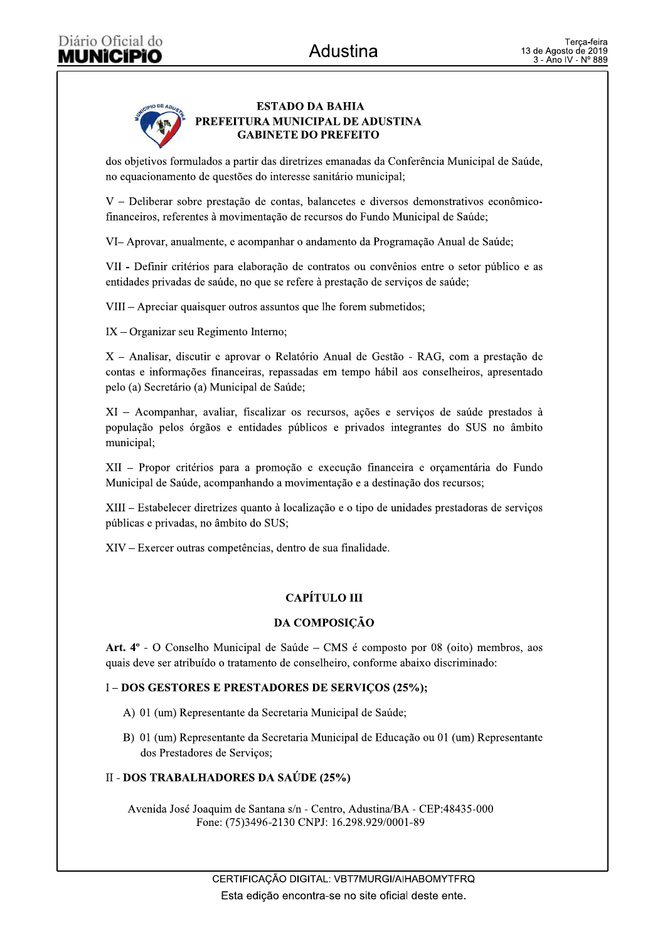

dos objetivos formulados a partir das diretrizes emanadas da Conferência Municipal de Saúde, no equacionamento de questões do interesse sanitário municipal;

V - Deliberar sobre prestação de contas, balancetes e diversos demonstrativos econômicofinanceiros, referentes à movimentação de recursos do Fundo Municipal de Saúde;

VI-Aprovar, anualmente, e acompanhar o andamento da Programação Anual de Saúde;

VII - Definir critérios para elaboração de contratos ou convênios entre o setor público e as entidades privadas de saúde, no que se refere à prestação de serviços de saúde;

VIII – Apreciar quaisquer outros assuntos que lhe forem submetidos;

 $IX - Organizar seu Regimento Interno;$ 

X - Analisar, discutir e aprovar o Relatório Anual de Gestão - RAG, com a prestação de contas e informações financeiras, repassadas em tempo hábil aos conselheiros, apresentado pelo (a) Secretário (a) Municipal de Saúde;

XI - Acompanhar, avaliar, fiscalizar os recursos, ações e serviços de saúde prestados à população pelos órgãos e entidades públicos e privados integrantes do SUS no âmbito municipal;

XII - Propor critérios para a promoção e execução financeira e orçamentária do Fundo Municipal de Saúde, acompanhando a movimentação e a destinação dos recursos;

XIII – Estabelecer diretrizes quanto à localização e o tipo de unidades prestadoras de serviços públicas e privadas, no âmbito do SUS;

XIV – Exercer outras competências, dentro de sua finalidade.

# **CAPÍTULO III**

# DA COMPOSIÇÃO

Art. 4° - O Conselho Municipal de Saúde – CMS é composto por 08 (oito) membros, aos quais deve ser atribuído o tratamento de conselheiro, conforme abaixo discriminado:

#### I - DOS GESTORES E PRESTADORES DE SERVIÇOS (25%);

- A) 01 (um) Representante da Secretaria Municipal de Saúde;
- B) 01 (um) Representante da Secretaria Municipal de Educação ou 01 (um) Representante dos Prestadores de Serviços;

# II - DOS TRABALHADORES DA SAÚDE (25%)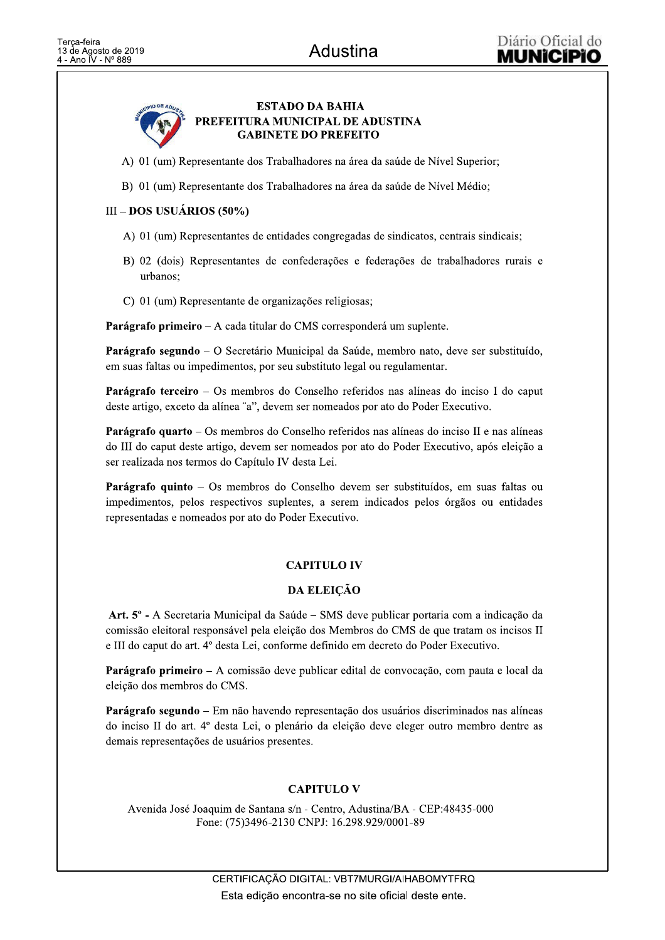

- A) 01 (um) Representante dos Trabalhadores na área da saúde de Nível Superior;
- B) 01 (um) Representante dos Trabalhadores na área da saúde de Nível Médio;

### $III - DOS USUÁRIOS (50%)$

- A) 01 (um) Representantes de entidades congregadas de sindicatos, centrais sindicais;
- B) 02 (dois) Representantes de confederações e federações de trabalhadores rurais e urbanos:
- C) 01 (um) Representante de organizações religiosas;

Parágrafo primeiro – A cada titular do CMS corresponderá um suplente.

**Parágrafo segundo** – O Secretário Municipal da Saúde, membro nato, deve ser substituído, em suas faltas ou impedimentos, por seu substituto legal ou regulamentar.

**Parágrafo terceiro** – Os membros do Conselho referidos nas alíneas do inciso I do caput deste artigo, exceto da alínea "a", devem ser nomeados por ato do Poder Executivo.

Parágrafo quarto - Os membros do Conselho referidos nas alíneas do inciso II e nas alíneas do III do caput deste artigo, devem ser nomeados por ato do Poder Executivo, após eleição a ser realizada nos termos do Capítulo IV desta Lei.

Parágrafo quinto – Os membros do Conselho devem ser substituídos, em suas faltas ou impedimentos, pelos respectivos suplentes, a serem indicados pelos órgãos ou entidades representadas e nomeados por ato do Poder Executivo.

# **CAPITULO IV**

# **DA ELEICÃO**

Art. 5° - A Secretaria Municipal da Saúde – SMS deve publicar portaria com a indicação da comissão eleitoral responsável pela eleição dos Membros do CMS de que tratam os incisos II e III do caput do art. 4º desta Lei, conforme definido em decreto do Poder Executivo.

Parágrafo primeiro – A comissão deve publicar edital de convocação, com pauta e local da eleição dos membros do CMS.

Parágrafo segundo – Em não havendo representação dos usuários discriminados nas alíneas do inciso II do art. 4º desta Lei, o plenário da eleição deve eleger outro membro dentre as demais representações de usuários presentes.

# **CAPITULO V**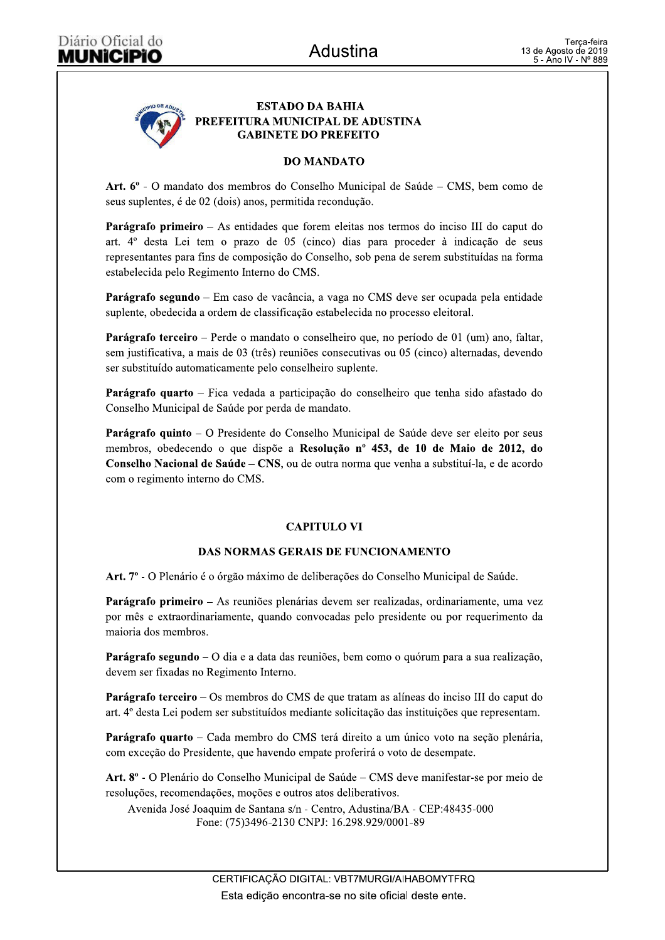

### **DO MANDATO**

Art. 6° - O mandato dos membros do Conselho Municipal de Saúde – CMS, bem como de seus suplentes, é de 02 (dois) anos, permitida recondução.

Parágrafo primeiro – As entidades que forem eleitas nos termos do inciso III do caput do art. 4<sup>°</sup> desta Lei tem o prazo de 05 (cinco) dias para proceder à indicação de seus representantes para fins de composição do Conselho, sob pena de serem substituídas na forma estabelecida pelo Regimento Interno do CMS.

Parágrafo segundo – Em caso de vacância, a vaga no CMS deve ser ocupada pela entidade suplente, obedecida a ordem de classificação estabelecida no processo eleitoral.

Parágrafo terceiro – Perde o mandato o conselheiro que, no período de 01 (um) ano, faltar, sem justificativa, a mais de 03 (três) reuniões consecutivas ou 05 (cinco) alternadas, devendo ser substituído automaticamente pelo conselheiro suplente.

Parágrafo quarto - Fica vedada a participação do conselheiro que tenha sido afastado do Conselho Municipal de Saúde por perda de mandato.

Parágrafo quinto - O Presidente do Conselho Municipal de Saúde deve ser eleito por seus membros, obedecendo o que dispõe a Resolução nº 453, de 10 de Maio de 2012, do Conselho Nacional de Saúde – CNS, ou de outra norma que venha a substituí-la, e de acordo com o regimento interno do CMS.

# **CAPITULO VI**

#### **DAS NORMAS GERAIS DE FUNCIONAMENTO**

Art. 7º - O Plenário é o órgão máximo de deliberações do Conselho Municipal de Saúde.

Parágrafo primeiro – As reuniões plenárias devem ser realizadas, ordinariamente, uma vez por mês e extraordinariamente, quando convocadas pelo presidente ou por requerimento da maioria dos membros.

Parágrafo segundo – O dia e a data das reuniões, bem como o quórum para a sua realização, devem ser fixadas no Regimento Interno.

**Parágrafo terceiro** – Os membros do CMS de que tratam as alíneas do inciso III do caput do art. 4º desta Lei podem ser substituídos mediante solicitação das instituições que representam.

Parágrafo quarto – Cada membro do CMS terá direito a um único voto na seção plenária, com exceção do Presidente, que havendo empate proferirá o voto de desempate.

Art. 8° - O Plenário do Conselho Municipal de Saúde – CMS deve manifestar-se por meio de resoluções, recomendações, moções e outros atos deliberativos.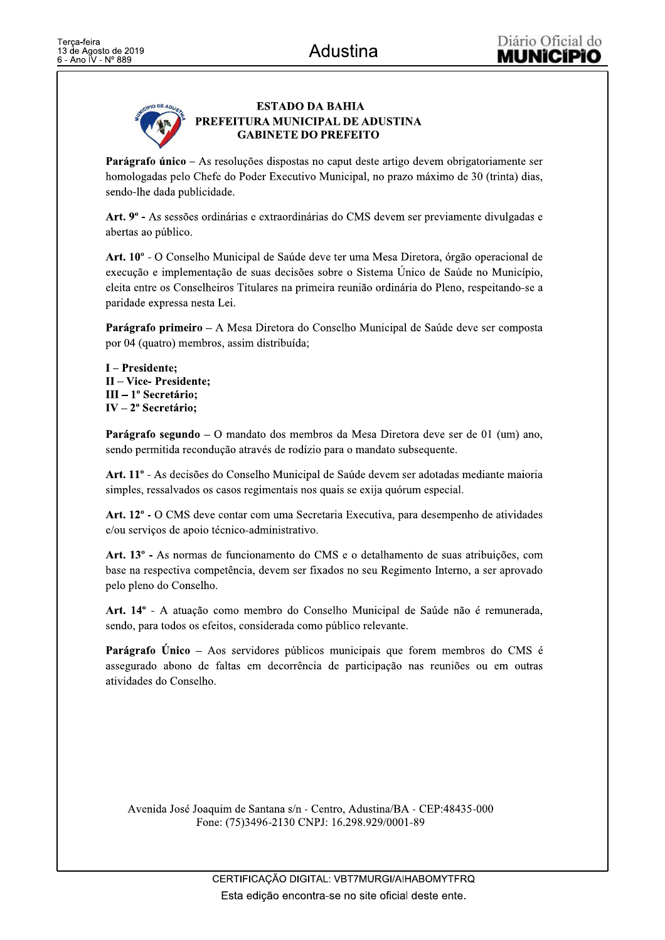

Parágrafo único – As resoluções dispostas no caput deste artigo devem obrigatoriamente ser homologadas pelo Chefe do Poder Executivo Municipal, no prazo máximo de 30 (trinta) dias, sendo-lhe dada publicidade.

Art. 9<sup>°</sup> - As sessões ordinárias e extraordinárias do CMS devem ser previamente divulgadas e abertas ao público.

Art. 10<sup>o</sup> - O Conselho Municipal de Saúde deve ter uma Mesa Diretora, órgão operacional de execução e implementação de suas decisões sobre o Sistema Unico de Saúde no Município, eleita entre os Conselheiros Titulares na primeira reunião ordinária do Pleno, respeitando-se a paridade expressa nesta Lei.

Parágrafo primeiro – A Mesa Diretora do Conselho Municipal de Saúde deve ser composta por 04 (quatro) membros, assim distribuída;

I - Presidente: II - Vice- Presidente;  $III - 1<sup>o</sup>$  Secretário; IV -  $2^{\circ}$  Secretário;

**Parágrafo segundo** – O mandato dos membros da Mesa Diretora deve ser de 01 (um) ano, sendo permitida recondução através de rodízio para o mandato subsequente.

Art. 11º - As decisões do Conselho Municipal de Saúde devem ser adotadas mediante maioria simples, ressalvados os casos regimentais nos quais se exija quórum especial.

Art. 12° - O CMS deve contar com uma Secretaria Executiva, para desempenho de atividades e/ou serviços de apoio técnico-administrativo.

Art. 13º - As normas de funcionamento do CMS e o detalhamento de suas atribuições, com base na respectiva competência, devem ser fixados no seu Regimento Interno, a ser aprovado pelo pleno do Conselho.

Art. 14º - A atuação como membro do Conselho Municipal de Saúde não é remunerada, sendo, para todos os efeitos, considerada como público relevante.

**Parágrafo Único** – Aos servidores públicos municipais que forem membros do CMS é assegurado abono de faltas em decorrência de participação nas reuniões ou em outras atividades do Conselho.